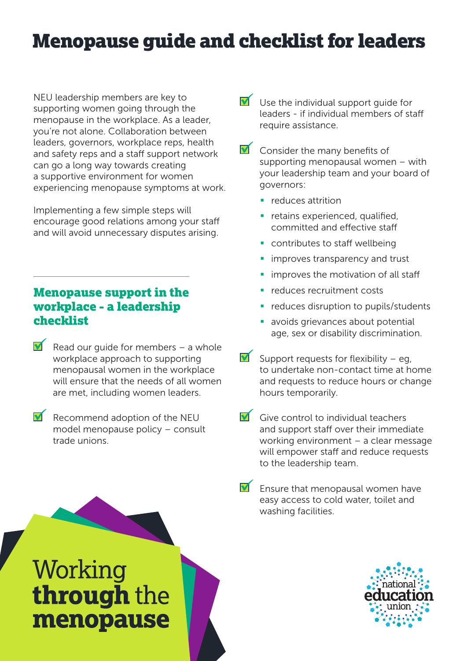# Menopause guide and checklist for leaders

NEU leadership members are key to supporting women going through the menopause in the workplace. As a leader, you're not alone. Collaboration between leaders, governors, workplace reps, health and safety reps and a staff support network can go a long way towards creating a supportive environment for women experiencing menopause symptoms at work.

Implementing a few simple steps will encourage good relations among your staff and will avoid unnecessary disputes arising.

# Menopause support in the workplace - a leadership checklist

- Read our guide for members a whole workplace approach to supporting menopausal women in the workplace will ensure that the needs of all women are met, including women leaders.
- $\blacksquare$  Recommend adoption of the NEU model menopause policy – consult trade unions.
- Use the individual support guide for leaders - if individual members of staff require assistance.
- $\blacktriangleright$  Consider the many benefits of supporting menopausal women – with your leadership team and your board of governors:
	- $\blacksquare$  reduces attrition
	- **•** retains experienced, qualified, committed and effective staff
	- **•** contributes to staff wellbeing
	- **improves transparency and trust**
	- **improves the motivation of all staff**
	- reduces recruitment costs
	- reduces disruption to pupils/students
	- **avoids grievances about potential** age, sex or disability discrimination.
- Support requests for flexibility eq. to undertake non-contact time at home and requests to reduce hours or change hours temporarily.
- $\blacksquare$  Give control to individual teachers and support staff over their immediate working environment – a clear message will empower staff and reduce requests to the leadership team.
	- Ensure that menopausal women have easy access to cold water, toilet and washing facilities.

# Working through the menopause

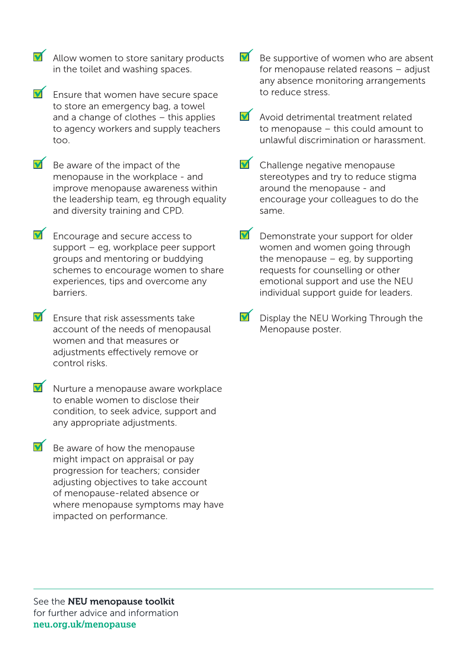- $\blacksquare$  Allow women to store sanitary products in the toilet and washing spaces.
- $\blacksquare$  Ensure that women have secure space to store an emergency bag, a towel and a change of clothes – this applies to agency workers and supply teachers too.
- $\blacksquare$  Be aware of the impact of the menopause in the workplace - and improve menopause awareness within the leadership team, eg through equality and diversity training and CPD.
- $\blacksquare$  Encourage and secure access to support – eg, workplace peer support groups and mentoring or buddying schemes to encourage women to share experiences, tips and overcome any barriers.
- $\blacksquare$  Ensure that risk assessments take account of the needs of menopausal women and that measures or adjustments effectively remove or control risks.
- $\blacksquare$  Nurture a menopause aware workplace to enable women to disclose their condition, to seek advice, support and any appropriate adjustments.
- $\blacksquare$  Be aware of how the menopause might impact on appraisal or pay progression for teachers; consider adjusting objectives to take account of menopause-related absence or where menopause symptoms may have impacted on performance.
- $\blacksquare$  Be supportive of women who are absent for menopause related reasons – adjust any absence monitoring arrangements to reduce stress.
- $\blacksquare$  Avoid detrimental treatment related to menopause – this could amount to unlawful discrimination or harassment.
- Challenge negative menopause stereotypes and try to reduce stigma around the menopause - and encourage your colleagues to do the same.
- $\blacksquare$  Demonstrate your support for older women and women going through the menopause  $-$  eg, by supporting requests for counselling or other emotional support and use the NEU individual support guide for leaders.
- $\blacksquare$  Display the NEU Working Through the Menopause poster.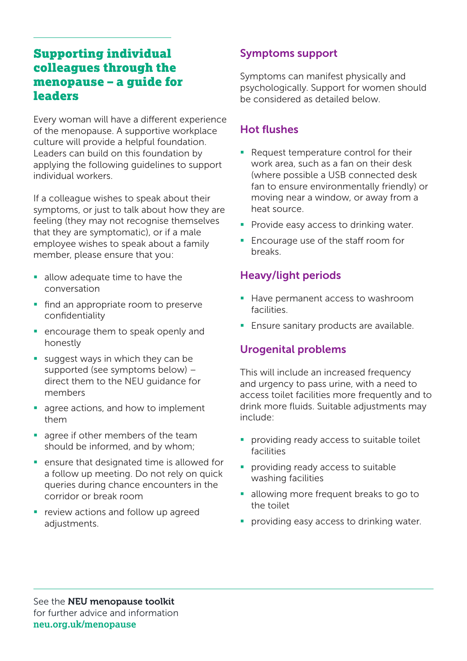# Supporting individual colleagues through the menopause – a guide for **leaders**

Every woman will have a different experience of the menopause. A supportive workplace culture will provide a helpful foundation. Leaders can build on this foundation by applying the following guidelines to support individual workers.

If a colleague wishes to speak about their symptoms, or just to talk about how they are feeling (they may not recognise themselves that they are symptomatic), or if a male employee wishes to speak about a family member, please ensure that you:

- allow adequate time to have the conversation
- **find an appropriate room to preserve** confidentiality
- **E** encourage them to speak openly and honestly
- suggest ways in which they can be supported (see symptoms below) – direct them to the NEU guidance for members
- agree actions, and how to implement them
- agree if other members of the team should be informed, and by whom;
- **EXE** ensure that designated time is allowed for a follow up meeting. Do not rely on quick queries during chance encounters in the corridor or break room
- **P** review actions and follow up agreed adjustments.

#### Symptoms support

Symptoms can manifest physically and psychologically. Support for women should be considered as detailed below.

# Hot flushes

- Request temperature control for their work area, such as a fan on their desk (where possible a USB connected desk fan to ensure environmentally friendly) or moving near a window, or away from a heat source.
- **Provide easy access to drinking water.**
- **Encourage use of the staff room for** breaks.

#### Heavy/light periods

- **Have permanent access to washroom** facilities.
- **Ensure sanitary products are available.**

#### Urogenital problems

This will include an increased frequency and urgency to pass urine, with a need to access toilet facilities more frequently and to drink more fluids. Suitable adjustments may include:

- **Peroviding ready access to suitable toilet** facilities
- **Peroviding ready access to suitable** washing facilities
- allowing more frequent breaks to go to the toilet
- **Peroviding easy access to drinking water.**